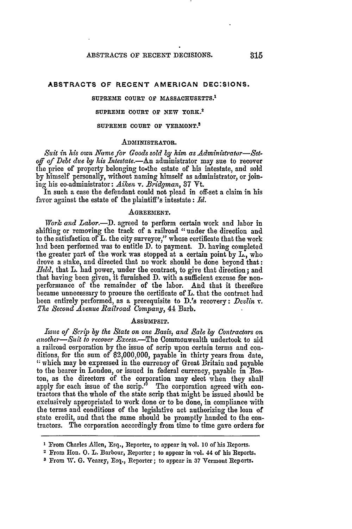### **ABSTRACTS OF RECENT AMERICAN DEC:SIONS.**

## **SUPREME COURT OF MASSACHUSETTS.'**

# **SUPREME COURT OF NEW YORK. <sup>2</sup>**

### **SUPREME COURT OF VERMONT.<sup>3</sup>**

### **ADMINISTRATOR.**

*Suit in his own Name for Goods sold by him as Administrator-Setoff of Debt due by his Intestate.-An* administrator may sue to recover the price of property belonging to-the estate of his intestate, and sold by himself personally, without naming himself as administrator, or joining his co-administrator: *Aiken v. Bridgman,* **37** Vt.

In such a case the defendant could not plead in off-set a claim in his favor against the estate of the plaintiff's intestate: *Id.*

#### **AGREEMENT.**

*Fork and Labor.-D.* agreed to perform certain work and labor in shifting or removing the track of a railroad "under the direction and to the satisfaction of L. the city surveyor," whose certificate that the work had been performed was to entitle D. to payment. D. having completed the greater part of the work was stopped at a certain point by L., who drove a stake, and directed that no work should be done beyond that: *field,* that L. had power, under the contract, to give that direction; and that having been given, it furnished D. with a sufficient excuse for nonperformance of the remainder of the labor. And that it therefore became unnecessary to procure the certificate of L. that the contract had been entirely performed, as a prerequisite to D.'s recovery: *Devlin v. The Second Avenue Railroad Company,* 44 Barb.

### ASSUMPSIT.

*Issue of Scr p by the ,State on one Basis, and Sale by Contractors on another-Suit to recover Excess.-The* Commonwealth undertook to aid a railroad corporation by the issue of scrip upon certain terms and con- ditions, for the sum of \$2,000,000, payable in thirty years from date, "which may be expressed in the currency of Great Britain and payable to the bearer in London, or issued in federal currency, payable in Boston, as the directors of the corporation may elect when they shall apply for each issue of the scrip." The corporation agreed with contractors that the whole of the state scrip that might be issued should be exclusively appropriated to work done or to be done, in compliance with the terms and conditions of the legislative act authorizing the loan of state credit, and that the same should be promptly handed to the contractors. The corporation accordingly from time to time gave orders for

**I** From Charles Allen, Esq., Reporter, to appear in vol. **10** of his Reports.

<sup>2</sup> From lIon. **0.** L. Barbour, Reporter; to appear in vol. 44 of his Reports.

**<sup>8</sup>** From W. **G.** Veazey, Esq., Reporter; to appear in **37** Vermont Reports.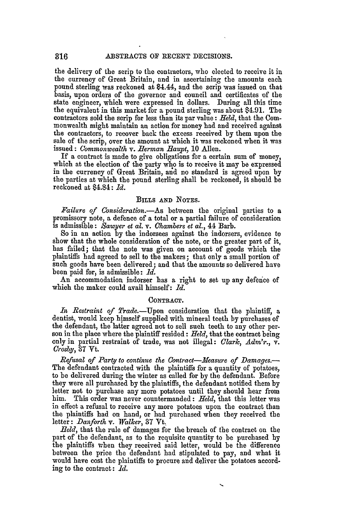the delivery of the scrip to the contractors, who elected to receive it in the currency of Great Britain, and in ascertaining the amounts each pound sterling was reckoned at \$4.44, and the scrip was issued on that basis, upon orders of the governor and council and certificates *uf* the state engineer, which were expressed in dollars. During all this time the equivalent in this market for a pound sterling was about \$4.91. The contractors sold the scrip for less than its par value:  $Held$ , that the Commonwealth might maintain an action for money had and received against the contractors, to recover back the excess received **by** them upon the sale of the scrip, over the amount at which it was reckoned when it was issued: *Commonwealth* v. *Herman Haupt*, **10** Allen.

If a contract is made to give obligations for a certain sum of money, which at the election of the party who is to receive it may be expressed in the currency of Great Britain, and no standard is agreed upon by the parties at which the pound sterling shall be reckoned, it should **be** reckoned at \$4.84: *Id.*

#### BILLS **AND NOTES.**

*Failure of Consideration.-As* between the original parties to a promissory note, a defence of a total or a partial failure of consideration is admissible: *Sawyer et al.* v. *Chambers et al.,* 44 Barb.

So in an action by the indorsees against the indorsers, evidence to show that the whole consideration of the note, or the greater part of it, has failed; that the note was given on account of goods which the plaintiffs had agreed to sell to the makers; that only a small portion of such goods have been delivered; and that the amounts so delivered have been paid for, is admissible: *Id.* 

An accommodation indorser has a right to set up any defence of which the maker could avail himself:  $Id$ .

#### **CONTRACT.**

*In Restraint of Trade.-Upon* consideration that the plaintiff, a dentist, would keep himself supplied with mineral teeth by purchases of the defendant, the latter agreed not to sell such teeth to any other per- son in the place where the plaintiff resided: *Held,* that the contract being only in partial restraint of trade, was not illegal: *Clark, Adm'r.,* v. *Crosby,* **37** Vt.

*Refusal of Party to continue the Contract-Yeasure of Damages.-* The defendant contracted with the plaintiffs for a quantity of potatoes, to be delivered during the winter as called for by the defendant. Before they were all purchased **by** the plaintiffs, the defendant notified them by letter not to purchase any more potatoes until they should hear from him. This order was never countermanded: *Held,* that this letter was in effect a refusal to receive any more potatoes upon the contract than the plaintiffs had on hand, or had purchased when they received the letter: *Danforth v. Walker*, 37 Vt.

*Held,* that the rule of damages for the breach of the contract on the part of the defendant, as to the requisite quantity to be purchased **by** the plaintiffs when they received said letter, would be the difference between the price the defendant had stipulated to pay, and what it would have cost the plaintiffs to procure and deliver the potatoes according to the contract: *id.*

316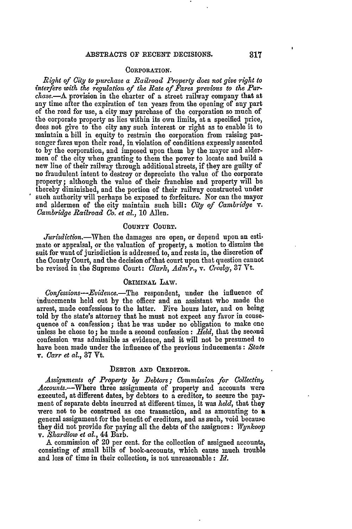#### CORPORATION.

*Right of Gity to purchase a Railroad Property does not give right to interfere with the regulation of the Rate of Fares previous to the Pur* $chase. - A$  provision in the charter of a street railway company that at any time after the expiration of ten years from the opening of any part of the road for use, a city may purchase of the corporation so much of the corporate property as lies within its own limits, at a specified price, does not give to the city any such interest or right as to enable it to maintain a bill in equity to restrain the corporation from raising passenger fares upon their road, in violation of conditions expressly assented to **by** the corporation, and imposed upon them by the mayor and alder- men of the city when granting to them the power to locate and build a new line of their railway through additional streets, if they are guilty of no fraudulent intent to destroy or depreciate the value of the corporate property; although the value of their franchise and property will be thereby diminished, and the portion of their railway constructed under such authority will perhaps be exposed to forfeiture. Nor can the mayor and aldermen of the city maintain such bill: *City of Cambridge v. Cambridge Railroad Co. et al.,* 10 Allen.

#### **COUNTY COURT.**

Jurisdiction.--When the damages are open, or depend upon an estimate or appraisal, or the valuation of property, a motion to dismiss the suit for want of jurisdiction is addressed to, and rests in, the discretion of the County Court, and the decision of that court upon that question cannot be revised in the Supreme Court: *Clark, Adm'r., v. Crosby,* 37 Vt.

### CRIMINAL LAw.

*Confessions-Evidence.-The* respondent, under the influence of inducements held out **by** the officer and an assistant who made the arrest, made confessions to the latter. Five hours later, and on being told **by** the state's attorney that he must not expect any favor in conse- quence of a confession; that he was under no obligation to make one unless he chose to; he made a second confession: *Held,* that the second confession was admissible as evidence, and it will not be presumed to have been made under the influence of the previous inducements: *State v. Carr et al.,* **37** Vt.

### DEBTOR **AND** CREDITOR.

*.Assignments of Property by Debtors; Commission for Collectin9 Accounts.-Where* three assignments of property and accounts were executed, at different dates, by debtors to a creditor, to secure the payment of separate debts incurred at different times, it was *held,* that they were not to be construed as one transaction, and as amounting to a general assignment for the benefit of creditors, and as such, void because they did not provide for paying all the debts of the assignors: *Wlynkoop v. Shardlow et al.,* 44 Barb.

**A** commission of 20 per cent. for the collection of assigned accounts, consisting of small bills of book-accounts, which cause much trouble and loss of time in their collection, is not unreasonable : *Id.*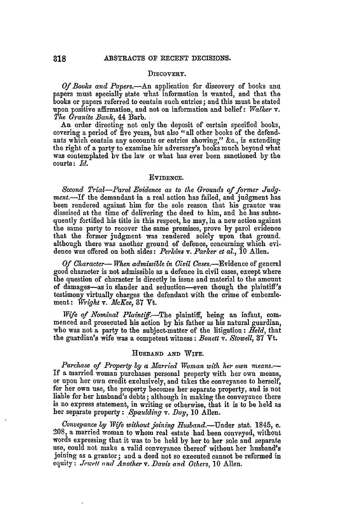### DISCOVERY.

*Of Books and Papers.-An* application for discovery of books ana papers must specially state what information is wanted, and that the books or papers referred to contain such entries; and this must be stated upon positive affirmation, and not on information and belief: *Walker* v.

An order directing not only the deposit of certain specified books, covering a period of five years, but also "all other books of the defendants which contain any accounts or entries showing," &e., is extending the right of a party to examine his adversary's books much beyond what was contemplated by the law or what has ever been sanctioned by the courts: *Id.*

#### EVIDENCE.

Second Trial-Parol Evidence as to the Grounds of former Judg*ment.-If* the demandant in a real action has failed, and judgment has been rendered against him for the sole reason that his grantor was disseised at the time of delivering the deed to him, and he has subsequently fortified his title in this respect, he may, in a new action against the same party to recover the same premises, prove by parol evidence that the former judgment was rendered solely upon that ground. although there was another ground of defence, concerning which evidence was offered on both sides: *Perkins v. Parker et al.,* 10 Allen.

*Of Character- When admissible in Civil Cases.*--Evidence of general good character is not admissible as a defence in civil cases, except where the question of character is directly in issue and material to the amount of damages-as in slander and seduction-even though the plaintiff's testimony virtually charges the defendant with the crime of embezzlement: *Wright v. McKee*, 37 Vt.

*Wife of Nominal Plaintiff.*--The plaintiff, being an infant, com-<br>menced and prosecuted his action by his father as his natural guardian, who was not a party to the subject-matter of the litigation: *Held,* that the guardian's wife was a competent witness: *Bonett v. Stowell, 87* Vt.

## **HUSBAND AND** WIFE.

*Purchase of Property by a Married Woman with her own means.-* If a married woman purchases personal property with her own means, or upon her own credit exclusively, and takes the conveyance to herself, for her own use, the property becomes her separate property, and is not liable for her husband's debts; although in making the conveyance there is no express statement, in writing or otherwise, that it is to **be** held as her separate property: *,Spaulding v. Day,* **10** Allen.

*Conveyance by Wife without joining Husband.-Under* stat. 1845, **c.** 208, a married woman to whom real estate had been conveyed, without words expressing that it was to be held by her to her sole and separate use, could not make a valid conveyance thereof without her husband's joining as a grantor; and a deed not so executed cannot be reformed in equity **:** *Jewett ond Another v. Davis and Others,* 10 Allen.